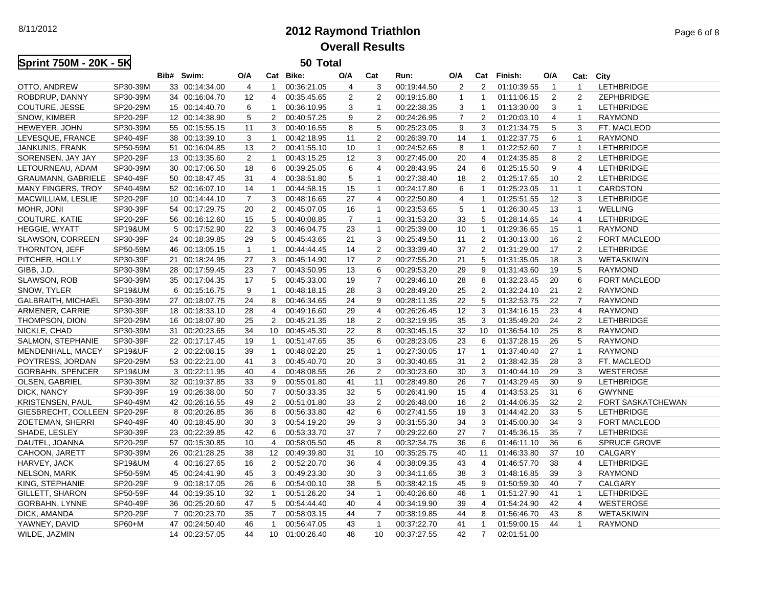8/11/2012

## **2012 Raymond TriathlonOverall Results**

| Sprint 750M - 20K - 5K       |                    | 50 Total       |                |                 |                |                |                 |             |                |                         |             |                |                |                          |  |
|------------------------------|--------------------|----------------|----------------|-----------------|----------------|----------------|-----------------|-------------|----------------|-------------------------|-------------|----------------|----------------|--------------------------|--|
|                              |                    | Bib# Swim:     | O/A            | Cat             | Bike:          | O/A            | Cat             | Run:        | O/A            | Cat                     | Finish:     | O/A            | Cat:           | City                     |  |
| OTTO, ANDREW                 | SP30-39M           | 33 00:14:34.00 | $\overline{4}$ | $\mathbf{1}$    | 00:36:21.05    | $\overline{4}$ | 3               | 00:19:44.50 | 2              | $\overline{2}$          | 01:10:39.55 | $\overline{1}$ | $\mathbf{1}$   | <b>LETHBRIDGE</b>        |  |
| ROBDRUP, DANNY               | SP30-39M           | 34 00:16:04.70 | 12             | $\overline{4}$  | 00:35:45.65    | $\overline{2}$ | 2               | 00:19:15.80 | $\mathbf{1}$   | $\mathbf{1}$            | 01:11:06.15 | $\overline{2}$ | 2              | ZEPHBRIDGE               |  |
| COUTURE, JESSE               | SP20-29M           | 15 00:14:40.70 | 6              | $\mathbf{1}$    | 00:36:10.95    | 3              | $\overline{1}$  | 00:22:38.35 | 3              | $\overline{1}$          | 01:13:30.00 | 3              | $\mathbf{1}$   | <b>LETHBRIDGE</b>        |  |
| SNOW, KIMBER                 | SP20-29F           | 12 00:14:38.90 | 5              | $\overline{2}$  | 00:40:57.25    | 9              | 2               | 00:24:26.95 | $\overline{7}$ | $\overline{2}$          | 01:20:03.10 | 4              | $\mathbf{1}$   | <b>RAYMOND</b>           |  |
| HEWEYER, JOHN                | SP30-39M           | 55 00:15:55.15 | 11             | 3               | 00:40:16.55    | 8              | 5               | 00:25:23.05 | 9              | 3                       | 01:21:34.75 | 5              | 3              | FT. MACLEOD              |  |
| LEVESQUE, FRANCE             | SP40-49F           | 38 00:13:39.10 | 3              | $\mathbf{1}$    | 00:42:18.95    | 11             | $\overline{c}$  | 00:26:39.70 | 14             | $\mathbf{1}$            | 01:22:37.75 | 6              | $\mathbf{1}$   | <b>RAYMOND</b>           |  |
| JANKUNIS, FRANK              | SP50-59M           | 51 00:16:04.85 | 13             | $\overline{2}$  | 00:41:55.10    | 10             | $\overline{1}$  | 00:24:52.65 | 8              | -1                      | 01:22:52.60 | 7              | $\mathbf{1}$   | LETHBRIDGE               |  |
| SORENSEN, JAY JAY            | SP20-29F           | 13 00:13:35.60 | $\overline{2}$ | $\mathbf{1}$    | 00:43:15.25    | 12             | 3               | 00:27:45.00 | 20             | 4                       | 01:24:35.85 | 8              | 2              | <b>LETHBRIDGE</b>        |  |
| LETOURNEAU, ADAM             | SP30-39M           | 30 00:17:06.50 | 18             | 6               | 00:39:25.05    | 6              | $\overline{4}$  | 00:28:43.95 | 24             | 6                       | 01:25:15.50 | 9              | $\overline{4}$ | <b>LETHBRIDGE</b>        |  |
| GRAUMANN, GABRIELE           | SP40-49F           | 50 00:18:47.45 | 31             | 4               | 00:38:51.80    | 5              | $\overline{1}$  | 00:27:38.40 | 18             | 2                       | 01:25:17.65 | 10             | 2              | <b>LETHBRIDGE</b>        |  |
| MANY FINGERS, TROY           | SP40-49M           | 52 00:16:07.10 | 14             | $\mathbf{1}$    | 00:44:58.15    | 15             | $\overline{1}$  | 00:24:17.80 | 6              | $\mathbf{1}$            | 01:25:23.05 | 11             | $\mathbf{1}$   | <b>CARDSTON</b>          |  |
| MACWILLIAM, LESLIE           | SP20-29F           | 10 00:14:44.10 | $\overline{7}$ | 3               | 00:48:16.65    | 27             | 4               | 00:22:50.80 | 4              | 1                       | 01:25:51.55 | 12             | 3              | <b>LETHBRIDGE</b>        |  |
| MOHR, JONI                   | SP30-39F           | 54 00:17:29.75 | 20             | 2               | 00:45:07.05    | 16             | $\overline{1}$  | 00:23:53.65 | 5              | $\overline{\mathbf{1}}$ | 01:26:30.45 | 13             | $\mathbf{1}$   | <b>WELLING</b>           |  |
| COUTURE, KATIE               | SP20-29F           | 56 00:16:12.60 | 15             | 5               | 00:40:08.85    | $\overline{7}$ | $\overline{1}$  | 00:31:53.20 | 33             | 5                       | 01:28:14.65 | 14             | 4              | <b>LETHBRIDGE</b>        |  |
| HEGGIE, WYATT                | <b>SP19&amp;UM</b> | 5 00:17:52.90  | 22             | 3               | 00:46:04.75    | 23             | $\overline{1}$  | 00:25:39.00 | 10             | $\mathbf{1}$            | 01:29:36.65 | 15             | $\mathbf{1}$   | <b>RAYMOND</b>           |  |
| SLAWSON, CORREEN             | SP30-39F           | 24 00:18:39.85 | 29             | 5               | 00:45:43.65    | 21             | 3               | 00:25:49.50 | 11             | 2                       | 01:30:13.00 | 16             | $\overline{2}$ | <b>FORT MACLEOD</b>      |  |
| THORNTON, JEFF               | SP50-59M           | 46 00:13:05.15 | $\mathbf{1}$   | $\mathbf{1}$    | 00:44:44.45    | 14             | 2               | 00:33:39.40 | 37             | $\overline{2}$          | 01:31:29.00 | 17             | 2              | <b>LETHBRIDGE</b>        |  |
| PITCHER, HOLLY               | SP30-39F           | 21 00:18:24.95 | 27             | 3               | 00:45:14.90    | 17             | $\overline{2}$  | 00:27:55.20 | 21             | 5                       | 01:31:35.05 | 18             | 3              | WETASKIWIN               |  |
| GIBB, J.D.                   | SP30-39M           | 28 00:17:59.45 | 23             | $\overline{7}$  | 00:43:50.95    | 13             | 6               | 00:29:53.20 | 29             | 9                       | 01:31:43.60 | 19             | 5              | <b>RAYMOND</b>           |  |
| SLAWSON, ROB                 | SP30-39M           | 35 00:17:04.35 | 17             | 5               | 00:45:33.00    | 19             | $\overline{7}$  | 00:29:46.10 | 28             | 8                       | 01:32:23.45 | 20             | 6              | <b>FORT MACLEOD</b>      |  |
| SNOW, TYLER                  | <b>SP19&amp;UM</b> | 6 00:15:16.75  | 9              | $\mathbf{1}$    | 00:48:18.15    | 28             | 3               | 00:28:49.20 | 25             | 2                       | 01:32:24.10 | 21             | 2              | <b>RAYMOND</b>           |  |
| GALBRAITH, MICHAEL           | SP30-39M           | 27 00:18:07.75 | 24             | 8               | 00:46:34.65    | 24             | 9               | 00:28:11.35 | 22             | 5                       | 01:32:53.75 | 22             | $\overline{7}$ | <b>RAYMOND</b>           |  |
| ARMENER, CARRIE              | SP30-39F           | 18 00:18:33.10 | 28             | $\overline{4}$  | 00:49:16.60    | 29             | $\overline{4}$  | 00:26:26.45 | 12             | 3                       | 01:34:16.15 | 23             | $\overline{4}$ | <b>RAYMOND</b>           |  |
| THOMPSON, DION               | SP20-29M           | 16 00:18:07.90 | 25             | $\overline{2}$  | 00:45:21.35    | 18             | 2               | 00:32:19.95 | 35             | 3                       | 01:35:49.20 | 24             | 2              | <b>LETHBRIDGE</b>        |  |
| NICKLE, CHAD                 | SP30-39M           | 31 00:20:23.65 | 34             | 10 <sup>1</sup> | 00:45:45.30    | 22             | 8               | 00:30:45.15 | 32             | 10                      | 01:36:54.10 | 25             | 8              | <b>RAYMOND</b>           |  |
| SALMON, STEPHANIE            | SP30-39F           | 22 00:17:17.45 | 19             | $\mathbf{1}$    | 00:51:47.65    | 35             | 6               | 00:28:23.05 | 23             | 6                       | 01:37:28.15 | 26             | 5              | <b>RAYMOND</b>           |  |
| MENDENHALL, MACEY            | <b>SP19&amp;UF</b> | 2 00:22:08.15  | 39             | $\mathbf{1}$    | 00:48:02.20    | 25             | $\overline{1}$  | 00:27:30.05 | 17             | $\mathbf{1}$            | 01:37:40.40 | 27             | $\mathbf{1}$   | <b>RAYMOND</b>           |  |
| POYTRESS, JORDAN             | SP20-29M           | 53 00:22:21.00 | 41             | 3               | 00:45:40.70    | 20             | 3               | 00:30:40.65 | 31             | 2                       | 01:38:42.35 | 28             | 3              | FT. MACLEOD              |  |
| GORBAHN, SPENCER             | <b>SP19&amp;UM</b> | 3 00:22:11.95  | 40             | 4               | 00:48:08.55    | 26             | $\overline{2}$  | 00:30:23.60 | 30             | 3                       | 01:40:44.10 | 29             | 3              | <b>WESTEROSE</b>         |  |
| OLSEN, GABRIEL               | SP30-39M           | 32 00:19:37.85 | 33             | 9               | 00:55:01.80    | 41             | 11              | 00:28:49.80 | 26             | $\overline{7}$          | 01:43:29.45 | 30             | 9              | <b>LETHBRIDGE</b>        |  |
| DICK, NANCY                  | SP30-39F           | 19 00:26:38.00 | 50             | $\overline{7}$  | 00:50:33.35    | 32             | 5               | 00:26:41.90 | 15             | 4                       | 01:43:53.25 | 31             | 6              | <b>GWYNNE</b>            |  |
| KRISTENSEN, PAUL             | SP40-49M           | 42 00:26:16.55 | 49             | 2               | 00:51:01.80    | 33             | $\overline{2}$  | 00:26:48.00 | 16             | 2                       | 01:44:06.35 | 32             | 2              | <b>FORT SASKATCHEWAN</b> |  |
| GIESBRECHT, COLLEEN SP20-29F |                    | 8 00:20:26.85  | 36             | 8               | 00:56:33.80    | 42             | 6               | 00:27:41.55 | 19             | 3                       | 01:44:42.20 | 33             | 5              | <b>LETHBRIDGE</b>        |  |
| ZOETEMAN, SHERRI             | SP40-49F           | 40 00:18:45.80 | 30             | 3               | 00:54:19.20    | 39             | 3               | 00:31:55.30 | 34             | 3                       | 01:45:00.30 | 34             | 3              | FORT MACLEOD             |  |
| SHADE, LESLEY                | SP30-39F           | 23 00:22:39.85 | 42             | 6               | 00:53:33.70    | 37             | $\overline{7}$  | 00:29:22.60 | 27             | $\overline{7}$          | 01:45:36.15 | 35             | $\overline{7}$ | <b>LETHBRIDGE</b>        |  |
| DAUTEL, JOANNA               | SP20-29F           | 57 00:15:30.85 | 10             | $\overline{4}$  | 00:58:05.50    | 45             | 8               | 00:32:34.75 | 36             | 6                       | 01:46:11.10 | 36             | 6              | <b>SPRUCE GROVE</b>      |  |
| CAHOON, JARETT               | SP30-39M           | 26 00:21:28.25 | 38             | 12              | 00:49:39.80    | 31             | 10              | 00:35:25.75 | 40             | 11                      | 01:46:33.80 | 37             | 10             | CALGARY                  |  |
| HARVEY, JACK                 | <b>SP19&amp;UM</b> | 4 00:16:27.65  | 16             | 2               | 00:52:20.70    | 36             | 4               | 00:38:09.35 | 43             | 4                       | 01:46:57.70 | 38             | $\overline{4}$ | LETHBRIDGE               |  |
| NELSON, MARK                 | SP50-59M           | 45 00:24:41.90 | 45             | 3               | 00:49:23.30    | 30             | 3               | 00:34:11.65 | 38             | 3                       | 01:48:16.85 | 39             | 3              | <b>RAYMOND</b>           |  |
| KING, STEPHANIE              | SP20-29F           | 9 00:18:17.05  | 26             | 6               | 00:54:00.10    | 38             | 5               | 00:38:42.15 | 45             | 9                       | 01:50:59.30 | 40             | $\overline{7}$ | CALGARY                  |  |
| GILLETT, SHARON              | SP50-59F           | 44 00:19:35.10 | 32             | $\mathbf{1}$    | 00:51:26.20    | 34             | $\overline{1}$  | 00:40:26.60 | 46             | $\mathbf{1}$            | 01:51:27.90 | 41             | $\mathbf{1}$   | <b>LETHBRIDGE</b>        |  |
| GORBAHN, LYNNE               | SP40-49F           | 36 00:25:20.60 | 47             | 5               | 00:54:44.40    | 40             | $\overline{4}$  | 00:34:19.90 | 39             | 4                       | 01:54:24.90 | 42             | 4              | <b>WESTEROSE</b>         |  |
| DICK, AMANDA                 | SP20-29F           | 7 00:20:23.70  | 35             | $\overline{7}$  | 00:58:03.15    | 44             | $\overline{7}$  | 00:38:19.85 | 44             | 8                       | 01:56:46.70 | 43             | 8              | WETASKIWIN               |  |
| YAWNEY, DAVID                | SP60+M             | 47 00:24:50.40 | 46             | $\mathbf{1}$    | 00:56:47.05    | 43             | $\overline{1}$  | 00:37:22.70 | 41             | $\overline{1}$          | 01:59:00.15 | 44             | $\mathbf{1}$   | <b>RAYMOND</b>           |  |
| WII DE JAZMIN                |                    | 14 00:23:57.05 | 44             |                 | 10.01:00:26.40 | 48             | 10 <sup>1</sup> | 00:37:27.55 | 42             | $7^{\circ}$             | 02:01:51:00 |                |                |                          |  |